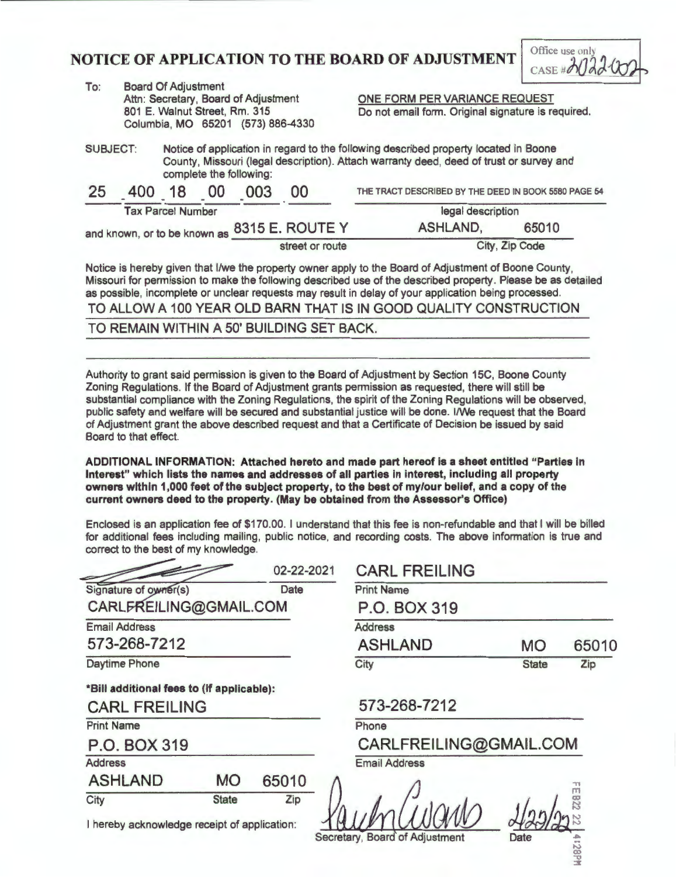## **NOTICE OF APPLICATION TO THE BOARD OF ADJUSTMENT**

| Office use only |  |
|-----------------|--|
| CASE #2022002   |  |

Iv ()Cl -c, :!C

To: Board Of Adjustment<br>Attn: Secretary, Board of Adjustment 801 E. Walnut Street, Rm. 315 Columbia, MO 65201 (573) 886-4330

ONE FORM PER VARIANCE REQUEST Do not email form. Original signature is required.

SUBJECT: Notice of application in regard to the following described property located in Boone County, Missouri (legal description). Attach warranty deed, deed of trust or survey and complete the following:

| 25 | 400 18 00                |  |  | 003             | 00                                           | THE TRACT DESCRIBED BY THE DEED IN BOOK 5580 PAGE 54 |       |
|----|--------------------------|--|--|-----------------|----------------------------------------------|------------------------------------------------------|-------|
|    | <b>Tax Parcel Number</b> |  |  |                 |                                              | legal description                                    |       |
|    |                          |  |  |                 | and known, or to be known as 8315 E. ROUTE Y | ASHLAND,                                             | 65010 |
|    |                          |  |  | street or route | City, Zip Code                               |                                                      |       |

Notice is hereby given that I/we the property owner apply to the Board of Adjustment of Boone County, Missouri for permission to make the following described use of the described property . Please be as detailed as possible, incomplete or unclear requests may result in delay of your application being processed. TO ALLOW A 100 YEAR OLD BARN THAT IS IN GOOD QUALITY CONSTRUCTION

TO REMAIN WITHIN A 50' BUILDING SET BACK.

Authority to grant said permission is given to the Board of Adjustment by Section 15C, Boone County Zoning Regulations. If the Board of Adjustment grants permission as requested, there will still be substantial compliance with the Zoning Regulations, the spirit of the Zoning Regulations will be observed, public safety and welfare will be secured and substantial justice will be done. I/We request that the Board of Adjustment grant the above described request and that a Certificate of Decision be issued by said Board to that effect.

**ADDITIONAL INFORMATION: Attached hereto and made part hereof is a sheet entitled "Parties In Interest" which lists the names and addresses of all parties** in **interest, including all property**  owners within 1,000 feet of the subject property, to the best of my/our belief, and a copy of the current owners deed to the property. **(May** be obtained from the Assessor's Office)

Enclosed is an application fee of \$170.00. I understand that this fee is non-refundable and that I will be billed for additional fees including mailing, public notice, and recording costs. The above information is true and correct to the best of my knowledge.

|                                              |              | 02-22-2021 |  | <b>CARL FREILING</b>           |              |       |  |
|----------------------------------------------|--------------|------------|--|--------------------------------|--------------|-------|--|
| Signature of owner(s)                        |              | Date       |  | <b>Print Name</b>              |              |       |  |
| CARLFREILING@GMAIL.COM                       |              |            |  | P.O. BOX 319                   |              |       |  |
| <b>Email Address</b>                         |              |            |  | <b>Address</b>                 |              |       |  |
| 573-268-7212                                 |              |            |  | <b>ASHLAND</b>                 | <b>MO</b>    | 65010 |  |
| Daytime Phone                                |              |            |  | City                           | <b>State</b> | Zip   |  |
| *Bill additional fees to (if applicable):    |              |            |  |                                |              |       |  |
| <b>CARL FREILING</b>                         |              |            |  | 573-268-7212                   |              |       |  |
| <b>Print Name</b>                            |              |            |  | Phone                          |              |       |  |
| P.O. BOX 319                                 |              |            |  | CARLFREILING@GMAIL.COM         |              |       |  |
| <b>Address</b>                               |              |            |  | <b>Email Address</b>           |              |       |  |
| <b>ASHLAND</b>                               | <b>MO</b>    | 65010      |  |                                |              |       |  |
| City                                         | <b>State</b> | Zip        |  |                                |              | 223   |  |
| I hereby acknowledge receipt of application: |              |            |  | Secretary, Board of Adjustment | Date         |       |  |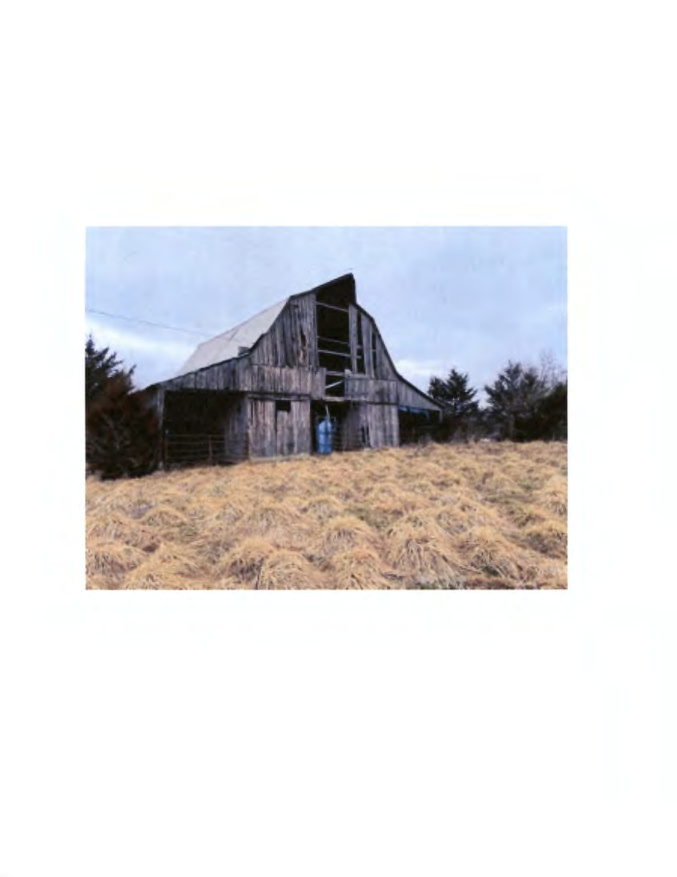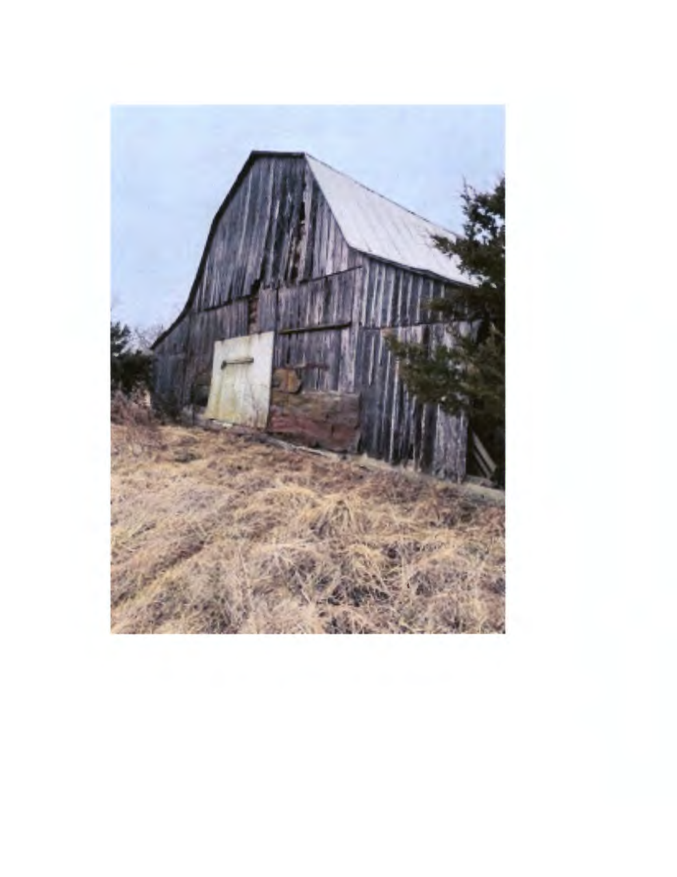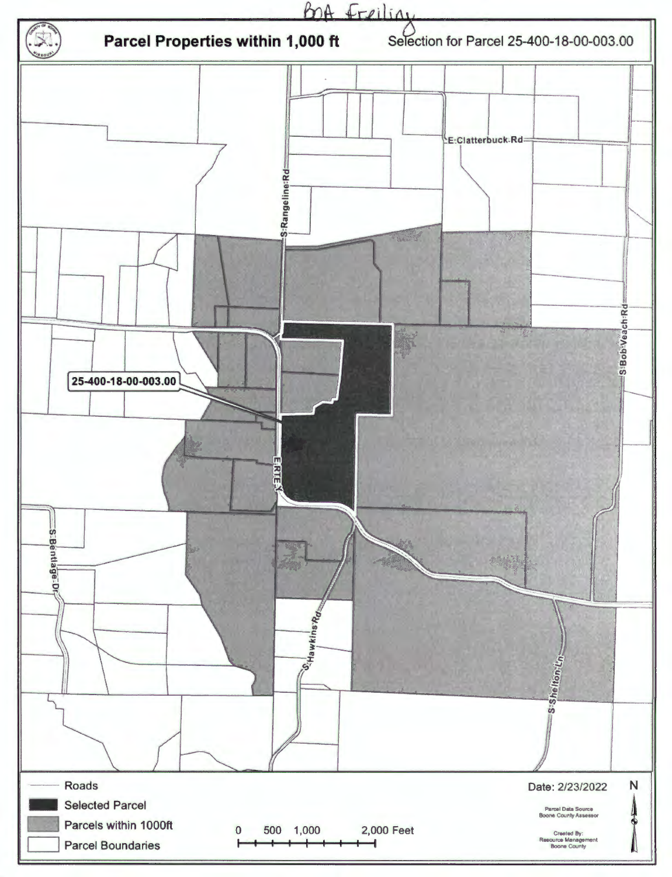